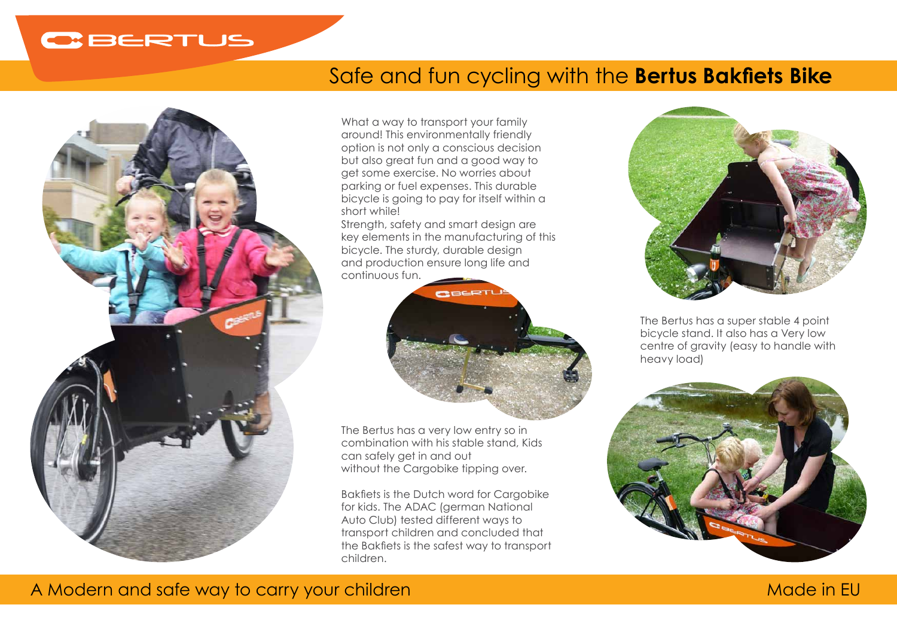## **GBERTUS**

## Safe and fun cycling with the **Bertus Bakfiets Bike**



What a way to transport your family around! This environmentally friendly option is not only a conscious decision but also great fun and a good way to get some exercise. No worries about parking or fuel expenses. This durable bicycle is going to pay for itself within a short while!

Strength, safety and smart design are key elements in the manufacturing of this bicycle. The sturdy, durable design and production ensure long life and continuous fun.



The Bertus has a very low entry so in combination with his stable stand, Kids can safely get in and out without the Cargobike tipping over.

Bakfiets is the Dutch word for Cargobike for kids. The ADAC (german National Auto Club) tested different ways to transport children and concluded that the Bakfiets is the safest way to transport children.



The Bertus has a super stable 4 point bicycle stand. It also has a Very low centre of gravity (easy to handle with heavy load)



A Modern and safe way to carry your children Made in EU and the U and the Made in EU